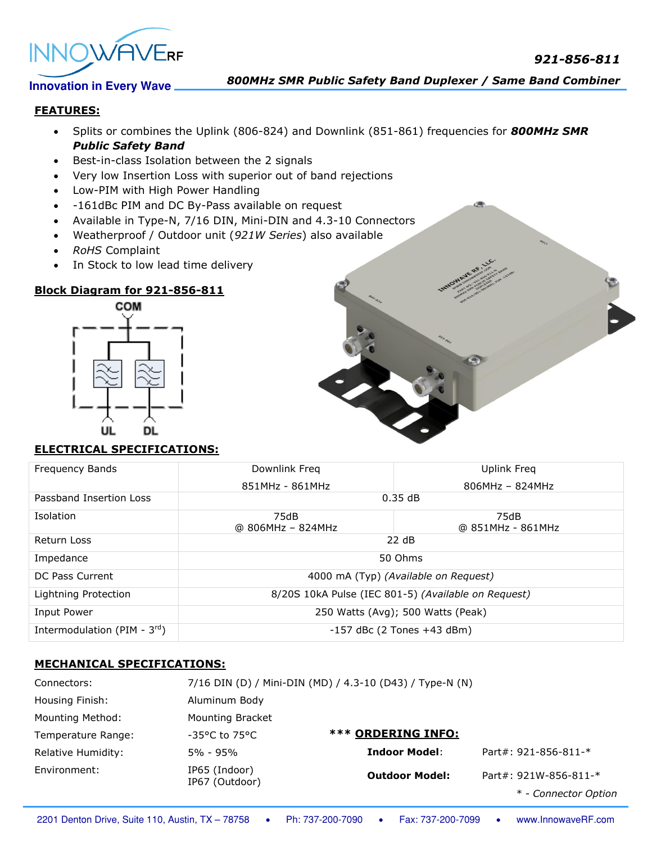



*800MHz SMR Public Safety Band Duplexer / Same Band Combiner*

### **FEATURES:**

- Splits or combines the Uplink (806-824) and Downlink (851-861) frequencies for *800MHz SMR Public Safety Band*
- Best-in-class Isolation between the 2 signals
- Very low Insertion Loss with superior out of band rejections
- Low-PIM with High Power Handling
- -161dBc PIM and DC By-Pass available on request
- Available in Type-N, 7/16 DIN, Mini-DIN and 4.3-10 Connectors
- Weatherproof / Outdoor unit (*921W Series*) also available
- *RoHS* Complaint
- In Stock to low lead time delivery

# **Block Diagram for 921-856-811**



# **ELECTRICAL SPECIFICATIONS:**

| <b>Frequency Bands</b>            | Downlink Freq                                       | Uplink Freg               |  |
|-----------------------------------|-----------------------------------------------------|---------------------------|--|
|                                   | 851MHz - 861MHz                                     | $806MHz - 824MHz$         |  |
| Passband Insertion Loss           | 0.35dB                                              |                           |  |
| <b>Isolation</b>                  | 75dB<br>@ 806MHz - 824MHz                           | 75dB<br>@ 851MHz - 861MHz |  |
| Return Loss                       | 22 dB                                               |                           |  |
| Impedance                         | 50 Ohms                                             |                           |  |
| DC Pass Current                   | 4000 mA (Typ) (Available on Request)                |                           |  |
| Lightning Protection              | 8/20S 10kA Pulse (IEC 801-5) (Available on Request) |                           |  |
| Input Power                       | 250 Watts (Avg); 500 Watts (Peak)                   |                           |  |
| Intermodulation (PIM - $3^{rd}$ ) | $-157$ dBc (2 Tones $+43$ dBm)                      |                           |  |

# **MECHANICAL SPECIFICATIONS:**

| Connectors:             |                                    | 7/16 DIN (D) / Mini-DIN (MD) / 4.3-10 (D43) / Type-N (N) |                         |
|-------------------------|------------------------------------|----------------------------------------------------------|-------------------------|
| Housing Finish:         | Aluminum Body                      |                                                          |                         |
| <b>Mounting Method:</b> | <b>Mounting Bracket</b>            |                                                          |                         |
| Temperature Range:      | $-35^{\circ}$ C to 75 $^{\circ}$ C | <b>*** ORDERING INFO:</b>                                |                         |
| Relative Humidity:      | 5% - 95%                           | <b>Indoor Model:</b>                                     | Part#: $921-856-811-$ * |
| Environment:            | IP65 (Indoor)<br>IP67 (Outdoor)    | <b>Outdoor Model:</b>                                    | Part#: 921W-856-811-*   |
|                         |                                    |                                                          | * - Connector Option    |